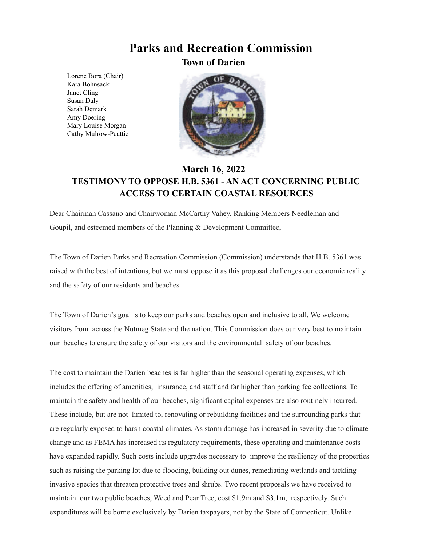## **Parks and Recreation Commission**

**Town of Darien**

Lorene Bora (Chair) Kara Bohnsack Janet Cling Susan Daly Sarah Demark Amy Doering Mary Louise Morgan Cathy Mulrow-Peattie



## **March 16, 2022 TESTIMONY TO OPPOSE H.B. 5361 - AN ACT CONCERNING PUBLIC ACCESS TO CERTAIN COASTAL RESOURCES**

Dear Chairman Cassano and Chairwoman McCarthy Vahey, Ranking Members Needleman and Goupil, and esteemed members of the Planning & Development Committee,

The Town of Darien Parks and Recreation Commission (Commission) understands that H.B. 5361 was raised with the best of intentions, but we must oppose it as this proposal challenges our economic reality and the safety of our residents and beaches.

The Town of Darien's goal is to keep our parks and beaches open and inclusive to all. We welcome visitors from across the Nutmeg State and the nation. This Commission does our very best to maintain our beaches to ensure the safety of our visitors and the environmental safety of our beaches.

The cost to maintain the Darien beaches is far higher than the seasonal operating expenses, which includes the offering of amenities, insurance, and staff and far higher than parking fee collections. To maintain the safety and health of our beaches, significant capital expenses are also routinely incurred. These include, but are not limited to, renovating or rebuilding facilities and the surrounding parks that are regularly exposed to harsh coastal climates. As storm damage has increased in severity due to climate change and as FEMA has increased its regulatory requirements, these operating and maintenance costs have expanded rapidly. Such costs include upgrades necessary to improve the resiliency of the properties such as raising the parking lot due to flooding, building out dunes, remediating wetlands and tackling invasive species that threaten protective trees and shrubs. Two recent proposals we have received to maintain our two public beaches, Weed and Pear Tree, cost \$1.9m and \$3.1m, respectively. Such expenditures will be borne exclusively by Darien taxpayers, not by the State of Connecticut. Unlike